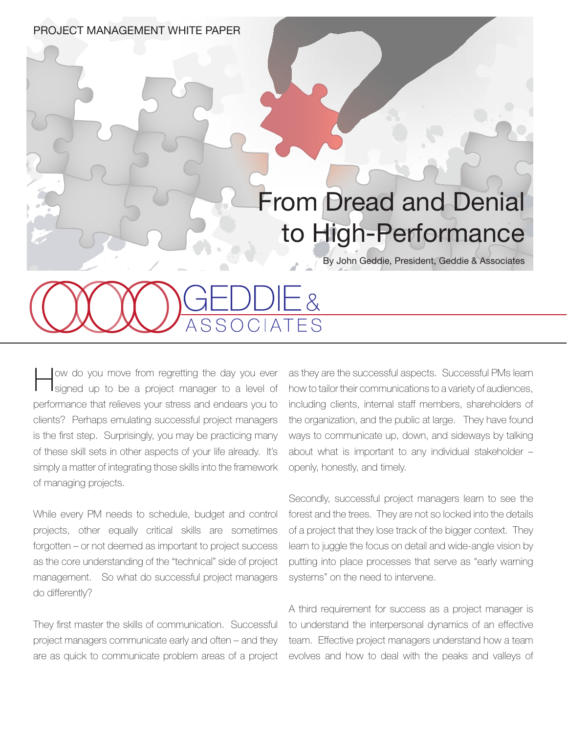PROJECT MANAGEMENT WHITE PAPER

## From Dread and Denial to High-Performance

By John Geddie, President, Geddie & Associates

How do you move from regretting the day you ever signed up to be a project manager to a level of performance that relieves your stress and endears you to clients? Perhaps emulating successful project managers is the first step. Surprisingly, you may be practicing many of these skill sets in other aspects of your life already. It's simply a matter of integrating those skills into the framework of managing projects.

While every PM needs to schedule, budget and control projects, other equally critical skills are sometimes forgotten – or not deemed as important to project success as the core understanding of the "technical" side of project management. So what do successful project managers do differently?

They first master the skills of communication. Successful project managers communicate early and often – and they are as quick to communicate problem areas of a project as they are the successful aspects. Successful PMs learn how to tailor their communications to a variety of audiences, including clients, internal staff members, shareholders of the organization, and the public at large. They have found ways to communicate up, down, and sideways by talking about what is important to any individual stakeholder – openly, honestly, and timely.

Secondly, successful project managers learn to see the forest and the trees. They are not so locked into the details of a project that they lose track of the bigger context. They learn to juggle the focus on detail and wide-angle vision by putting into place processes that serve as "early warning systems" on the need to intervene.

A third requirement for success as a project manager is to understand the interpersonal dynamics of an effective team. Effective project managers understand how a team evolves and how to deal with the peaks and valleys of